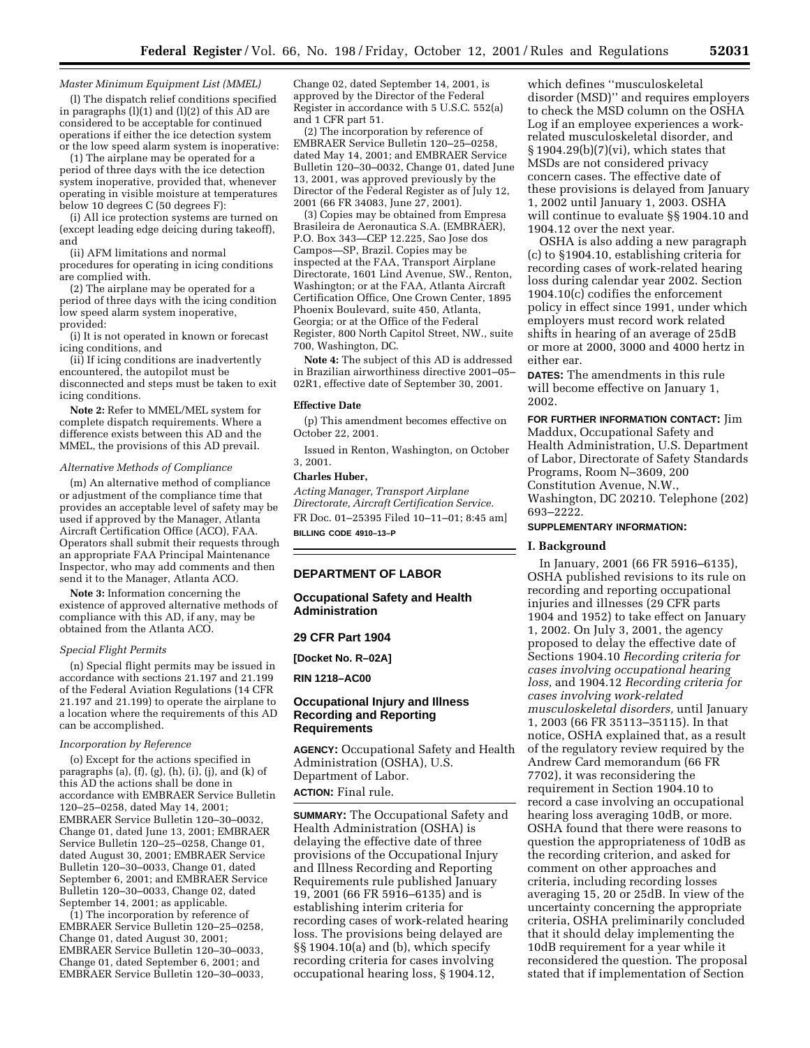### *Master Minimum Equipment List (MMEL)*

(l) The dispatch relief conditions specified in paragraphs (l)(1) and (l)(2) of this AD are considered to be acceptable for continued operations if either the ice detection system or the low speed alarm system is inoperative:

(1) The airplane may be operated for a period of three days with the ice detection system inoperative, provided that, whenever operating in visible moisture at temperatures below 10 degrees C (50 degrees F):

(i) All ice protection systems are turned on (except leading edge deicing during takeoff), and

(ii) AFM limitations and normal procedures for operating in icing conditions are complied with.

(2) The airplane may be operated for a period of three days with the icing condition low speed alarm system inoperative, provided:

(i) It is not operated in known or forecast icing conditions, and

(ii) If icing conditions are inadvertently encountered, the autopilot must be disconnected and steps must be taken to exit icing conditions.

**Note 2:** Refer to MMEL/MEL system for complete dispatch requirements. Where a difference exists between this AD and the MMEL, the provisions of this AD prevail.

### *Alternative Methods of Compliance*

(m) An alternative method of compliance or adjustment of the compliance time that provides an acceptable level of safety may be used if approved by the Manager, Atlanta Aircraft Certification Office (ACO), FAA. Operators shall submit their requests through an appropriate FAA Principal Maintenance Inspector, who may add comments and then send it to the Manager, Atlanta ACO.

**Note 3:** Information concerning the existence of approved alternative methods of compliance with this AD, if any, may be obtained from the Atlanta ACO.

#### *Special Flight Permits*

(n) Special flight permits may be issued in accordance with sections 21.197 and 21.199 of the Federal Aviation Regulations (14 CFR 21.197 and 21.199) to operate the airplane to a location where the requirements of this AD can be accomplished.

### *Incorporation by Reference*

(o) Except for the actions specified in paragraphs (a),  $(f)$ ,  $(g)$ ,  $(h)$ ,  $(i)$ ,  $(j)$ , and  $(k)$  of this AD the actions shall be done in accordance with EMBRAER Service Bulletin 120–25–0258, dated May 14, 2001; EMBRAER Service Bulletin 120–30–0032, Change 01, dated June 13, 2001; EMBRAER Service Bulletin 120–25–0258, Change 01, dated August 30, 2001; EMBRAER Service Bulletin 120–30–0033, Change 01, dated September 6, 2001; and EMBRAER Service Bulletin 120–30–0033, Change 02, dated September 14, 2001; as applicable.

 $(1)$  The incorporation by reference of EMBRAER Service Bulletin 120–25–0258, Change 01, dated August 30, 2001; EMBRAER Service Bulletin 120–30–0033, Change 01, dated September 6, 2001; and EMBRAER Service Bulletin 120–30–0033, Change 02, dated September 14, 2001, is approved by the Director of the Federal Register in accordance with 5 U.S.C. 552(a) and 1 CFR part 51.

(2) The incorporation by reference of EMBRAER Service Bulletin 120–25–0258, dated May 14, 2001; and EMBRAER Service Bulletin 120–30–0032, Change 01, dated June 13, 2001, was approved previously by the Director of the Federal Register as of July 12, 2001 (66 FR 34083, June 27, 2001).

(3) Copies may be obtained from Empresa Brasileira de Aeronautica S.A. (EMBRAER), P.O. Box 343—CEP 12.225, Sao Jose dos Campos—SP, Brazil. Copies may be inspected at the FAA, Transport Airplane Directorate, 1601 Lind Avenue, SW., Renton, Washington; or at the FAA, Atlanta Aircraft Certification Office, One Crown Center, 1895 Phoenix Boulevard, suite 450, Atlanta, Georgia; or at the Office of the Federal Register, 800 North Capitol Street, NW., suite 700, Washington, DC.

**Note 4:** The subject of this AD is addressed in Brazilian airworthiness directive 2001–05– 02R1, effective date of September 30, 2001.

## **Effective Date**

(p) This amendment becomes effective on October 22, 2001.

Issued in Renton, Washington, on October 3, 2001.

## **Charles Huber,**

*Acting Manager, Transport Airplane Directorate, Aircraft Certification Service.* FR Doc. 01–25395 Filed 10–11–01; 8:45 am] **BILLING CODE 4910–13–P**

# **DEPARTMENT OF LABOR**

## **Occupational Safety and Health Administration**

### **29 CFR Part 1904**

**[Docket No. R–02A]**

**RIN 1218–AC00**

## **Occupational Injury and Illness Recording and Reporting Requirements**

**AGENCY:** Occupational Safety and Health Administration (OSHA), U.S. Department of Labor. **ACTION:** Final rule.

**SUMMARY:** The Occupational Safety and Health Administration (OSHA) is delaying the effective date of three provisions of the Occupational Injury and Illness Recording and Reporting Requirements rule published January 19, 2001 (66 FR 5916–6135) and is establishing interim criteria for recording cases of work-related hearing loss. The provisions being delayed are §§ 1904.10(a) and (b), which specify recording criteria for cases involving occupational hearing loss, § 1904.12,

which defines ''musculoskeletal disorder (MSD)'' and requires employers to check the MSD column on the OSHA Log if an employee experiences a workrelated musculoskeletal disorder, and § 1904.29(b)(7)(vi), which states that MSDs are not considered privacy concern cases. The effective date of these provisions is delayed from January 1, 2002 until January 1, 2003. OSHA will continue to evaluate §§ 1904.10 and 1904.12 over the next year.

OSHA is also adding a new paragraph (c) to §1904.10, establishing criteria for recording cases of work-related hearing loss during calendar year 2002. Section 1904.10(c) codifies the enforcement policy in effect since 1991, under which employers must record work related shifts in hearing of an average of 25dB or more at 2000, 3000 and 4000 hertz in either ear.

**DATES:** The amendments in this rule will become effective on January 1, 2002.

**FOR FURTHER INFORMATION CONTACT:** Jim Maddux, Occupational Safety and Health Administration, U.S. Department of Labor, Directorate of Safety Standards Programs, Room N–3609, 200 Constitution Avenue, N.W., Washington, DC 20210. Telephone (202) 693–2222.

## **SUPPLEMENTARY INFORMATION:**

#### **I. Background**

In January, 2001 (66 FR 5916–6135), OSHA published revisions to its rule on recording and reporting occupational injuries and illnesses (29 CFR parts 1904 and 1952) to take effect on January 1, 2002. On July 3, 2001, the agency proposed to delay the effective date of Sections 1904.10 *Recording criteria for cases involving occupational hearing loss,* and 1904.12 *Recording criteria for cases involving work-related musculoskeletal disorders,* until January 1, 2003 (66 FR 35113–35115). In that notice, OSHA explained that, as a result of the regulatory review required by the Andrew Card memorandum (66 FR 7702), it was reconsidering the requirement in Section 1904.10 to record a case involving an occupational hearing loss averaging 10dB, or more. OSHA found that there were reasons to question the appropriateness of 10dB as the recording criterion, and asked for comment on other approaches and criteria, including recording losses averaging 15, 20 or 25dB. In view of the uncertainty concerning the appropriate criteria, OSHA preliminarily concluded that it should delay implementing the 10dB requirement for a year while it reconsidered the question. The proposal stated that if implementation of Section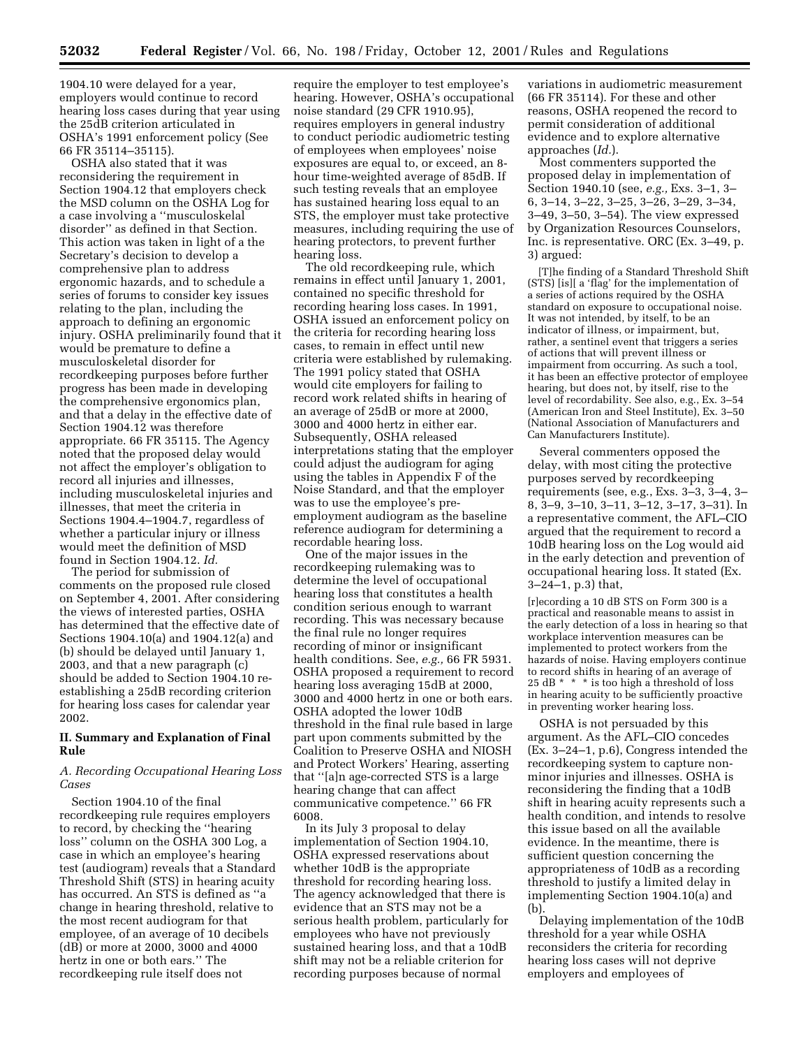1904.10 were delayed for a year, employers would continue to record hearing loss cases during that year using the 25dB criterion articulated in OSHA's 1991 enforcement policy (See 66 FR 35114–35115).

OSHA also stated that it was reconsidering the requirement in Section 1904.12 that employers check the MSD column on the OSHA Log for a case involving a ''musculoskelal disorder'' as defined in that Section. This action was taken in light of a the Secretary's decision to develop a comprehensive plan to address ergonomic hazards, and to schedule a series of forums to consider key issues relating to the plan, including the approach to defining an ergonomic injury. OSHA preliminarily found that it would be premature to define a musculoskeletal disorder for recordkeeping purposes before further progress has been made in developing the comprehensive ergonomics plan, and that a delay in the effective date of Section 1904.12 was therefore appropriate. 66 FR 35115. The Agency noted that the proposed delay would not affect the employer's obligation to record all injuries and illnesses, including musculoskeletal injuries and illnesses, that meet the criteria in Sections 1904.4–1904.7, regardless of whether a particular injury or illness would meet the definition of MSD found in Section 1904.12. *Id.*

The period for submission of comments on the proposed rule closed on September 4, 2001. After considering the views of interested parties, OSHA has determined that the effective date of Sections 1904.10(a) and 1904.12(a) and (b) should be delayed until January 1, 2003, and that a new paragraph (c) should be added to Section 1904.10 reestablishing a 25dB recording criterion for hearing loss cases for calendar year 2002.

## **II. Summary and Explanation of Final Rule**

## *A. Recording Occupational Hearing Loss Cases*

Section 1904.10 of the final recordkeeping rule requires employers to record, by checking the ''hearing loss'' column on the OSHA 300 Log, a case in which an employee's hearing test (audiogram) reveals that a Standard Threshold Shift (STS) in hearing acuity has occurred. An STS is defined as ''a change in hearing threshold, relative to the most recent audiogram for that employee, of an average of 10 decibels (dB) or more at 2000, 3000 and 4000 hertz in one or both ears.'' The recordkeeping rule itself does not

require the employer to test employee's hearing. However, OSHA's occupational noise standard (29 CFR 1910.95), requires employers in general industry to conduct periodic audiometric testing of employees when employees' noise exposures are equal to, or exceed, an 8 hour time-weighted average of 85dB. If such testing reveals that an employee has sustained hearing loss equal to an STS, the employer must take protective measures, including requiring the use of hearing protectors, to prevent further hearing loss.

The old recordkeeping rule, which remains in effect until January 1, 2001, contained no specific threshold for recording hearing loss cases. In 1991, OSHA issued an enforcement policy on the criteria for recording hearing loss cases, to remain in effect until new criteria were established by rulemaking. The 1991 policy stated that OSHA would cite employers for failing to record work related shifts in hearing of an average of 25dB or more at 2000, 3000 and 4000 hertz in either ear. Subsequently, OSHA released interpretations stating that the employer could adjust the audiogram for aging using the tables in Appendix F of the Noise Standard, and that the employer was to use the employee's preemployment audiogram as the baseline reference audiogram for determining a recordable hearing loss.

One of the major issues in the recordkeeping rulemaking was to determine the level of occupational hearing loss that constitutes a health condition serious enough to warrant recording. This was necessary because the final rule no longer requires recording of minor or insignificant health conditions. See, *e.g.,* 66 FR 5931. OSHA proposed a requirement to record hearing loss averaging 15dB at 2000, 3000 and 4000 hertz in one or both ears. OSHA adopted the lower 10dB threshold in the final rule based in large part upon comments submitted by the Coalition to Preserve OSHA and NIOSH and Protect Workers' Hearing, asserting that ''[a]n age-corrected STS is a large hearing change that can affect communicative competence.'' 66 FR 6008.

In its July 3 proposal to delay implementation of Section 1904.10, OSHA expressed reservations about whether 10dB is the appropriate threshold for recording hearing loss. The agency acknowledged that there is evidence that an STS may not be a serious health problem, particularly for employees who have not previously sustained hearing loss, and that a 10dB shift may not be a reliable criterion for recording purposes because of normal

variations in audiometric measurement (66 FR 35114). For these and other reasons, OSHA reopened the record to permit consideration of additional evidence and to explore alternative approaches (*Id.*).

Most commenters supported the proposed delay in implementation of Section 1940.10 (see, *e.g.,* Exs. 3–1, 3– 6, 3–14, 3–22, 3–25, 3–26, 3–29, 3–34, 3–49, 3–50, 3–54). The view expressed by Organization Resources Counselors, Inc. is representative. ORC (Ex. 3–49, p. 3) argued:

[T]he finding of a Standard Threshold Shift (STS) [is][ a 'flag' for the implementation of a series of actions required by the OSHA standard on exposure to occupational noise. It was not intended, by itself, to be an indicator of illness, or impairment, but, rather, a sentinel event that triggers a series of actions that will prevent illness or impairment from occurring. As such a tool, it has been an effective protector of employee hearing, but does not, by itself, rise to the level of recordability. See also, e.g., Ex. 3–54 (American Iron and Steel Institute), Ex. 3–50 (National Association of Manufacturers and Can Manufacturers Institute).

Several commenters opposed the delay, with most citing the protective purposes served by recordkeeping requirements (see, e.g., Exs. 3–3, 3–4, 3– 8, 3–9, 3–10, 3–11, 3–12, 3–17, 3–31). In a representative comment, the AFL–CIO argued that the requirement to record a 10dB hearing loss on the Log would aid in the early detection and prevention of occupational hearing loss. It stated (Ex. 3–24–1, p.3) that,

[r]ecording a 10 dB STS on Form 300 is a practical and reasonable means to assist in the early detection of a loss in hearing so that workplace intervention measures can be implemented to protect workers from the hazards of noise. Having employers continue to record shifts in hearing of an average of 25 dB \* \* \* is too high a threshold of loss in hearing acuity to be sufficiently proactive in preventing worker hearing loss.

OSHA is not persuaded by this argument. As the AFL–CIO concedes (Ex. 3–24–1, p.6), Congress intended the recordkeeping system to capture nonminor injuries and illnesses. OSHA is reconsidering the finding that a 10dB shift in hearing acuity represents such a health condition, and intends to resolve this issue based on all the available evidence. In the meantime, there is sufficient question concerning the appropriateness of 10dB as a recording threshold to justify a limited delay in implementing Section 1904.10(a) and (b).

Delaying implementation of the 10dB threshold for a year while OSHA reconsiders the criteria for recording hearing loss cases will not deprive employers and employees of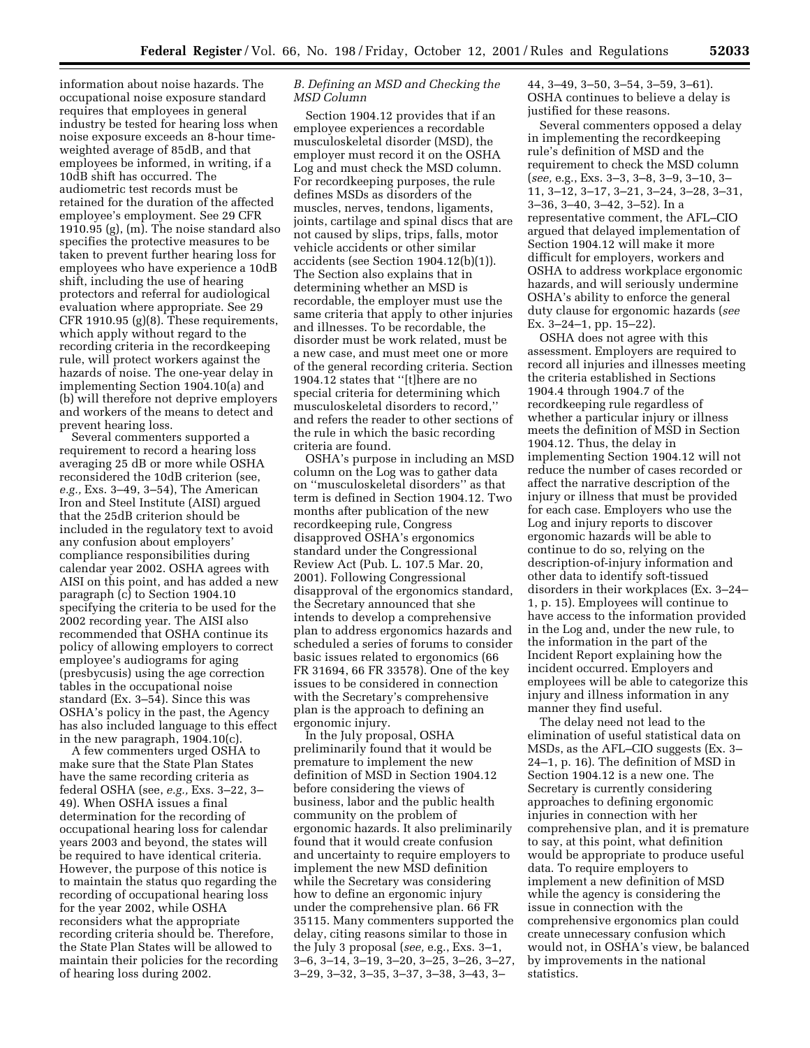information about noise hazards. The occupational noise exposure standard requires that employees in general industry be tested for hearing loss when noise exposure exceeds an 8-hour timeweighted average of 85dB, and that employees be informed, in writing, if a 10dB shift has occurred. The audiometric test records must be retained for the duration of the affected employee's employment. See 29 CFR 1910.95 (g), (m). The noise standard also specifies the protective measures to be taken to prevent further hearing loss for employees who have experience a 10dB shift, including the use of hearing protectors and referral for audiological evaluation where appropriate. See 29 CFR 1910.95 (g)(8). These requirements, which apply without regard to the recording criteria in the recordkeeping rule, will protect workers against the hazards of noise. The one-year delay in implementing Section 1904.10(a) and (b) will therefore not deprive employers and workers of the means to detect and prevent hearing loss.

Several commenters supported a requirement to record a hearing loss averaging 25 dB or more while OSHA reconsidered the 10dB criterion (see, *e.g.,* Exs. 3–49, 3–54), The American Iron and Steel Institute (AISI) argued that the 25dB criterion should be included in the regulatory text to avoid any confusion about employers' compliance responsibilities during calendar year 2002. OSHA agrees with AISI on this point, and has added a new paragraph (c) to Section 1904.10 specifying the criteria to be used for the 2002 recording year. The AISI also recommended that OSHA continue its policy of allowing employers to correct employee's audiograms for aging (presbycusis) using the age correction tables in the occupational noise standard (Ex. 3–54). Since this was OSHA's policy in the past, the Agency has also included language to this effect in the new paragraph, 1904.10(c).

A few commenters urged OSHA to make sure that the State Plan States have the same recording criteria as federal OSHA (see, *e.g.,* Exs. 3–22, 3– 49). When OSHA issues a final determination for the recording of occupational hearing loss for calendar years 2003 and beyond, the states will be required to have identical criteria. However, the purpose of this notice is to maintain the status quo regarding the recording of occupational hearing loss for the year 2002, while OSHA reconsiders what the appropriate recording criteria should be. Therefore, the State Plan States will be allowed to maintain their policies for the recording of hearing loss during 2002.

## *B. Defining an MSD and Checking the MSD Column*

Section 1904.12 provides that if an employee experiences a recordable musculoskeletal disorder (MSD), the employer must record it on the OSHA Log and must check the MSD column. For recordkeeping purposes, the rule defines MSDs as disorders of the muscles, nerves, tendons, ligaments, joints, cartilage and spinal discs that are not caused by slips, trips, falls, motor vehicle accidents or other similar accidents (see Section 1904.12(b)(1)). The Section also explains that in determining whether an MSD is recordable, the employer must use the same criteria that apply to other injuries and illnesses. To be recordable, the disorder must be work related, must be a new case, and must meet one or more of the general recording criteria. Section 1904.12 states that ''[t]here are no special criteria for determining which musculoskeletal disorders to record,'' and refers the reader to other sections of the rule in which the basic recording criteria are found.

OSHA's purpose in including an MSD column on the Log was to gather data on ''musculoskeletal disorders'' as that term is defined in Section 1904.12. Two months after publication of the new recordkeeping rule, Congress disapproved OSHA's ergonomics standard under the Congressional Review Act (Pub. L. 107.5 Mar. 20, 2001). Following Congressional disapproval of the ergonomics standard, the Secretary announced that she intends to develop a comprehensive plan to address ergonomics hazards and scheduled a series of forums to consider basic issues related to ergonomics (66 FR 31694, 66 FR 33578). One of the key issues to be considered in connection with the Secretary's comprehensive plan is the approach to defining an ergonomic injury.

In the July proposal, OSHA preliminarily found that it would be premature to implement the new definition of MSD in Section 1904.12 before considering the views of business, labor and the public health community on the problem of ergonomic hazards. It also preliminarily found that it would create confusion and uncertainty to require employers to implement the new MSD definition while the Secretary was considering how to define an ergonomic injury under the comprehensive plan. 66 FR 35115. Many commenters supported the delay, citing reasons similar to those in the July 3 proposal (*see,* e.g., Exs. 3–1, 3–6, 3–14, 3–19, 3–20, 3–25, 3–26, 3–27, 3–29, 3–32, 3–35, 3–37, 3–38, 3–43, 3–

44, 3–49, 3–50, 3–54, 3–59, 3–61). OSHA continues to believe a delay is justified for these reasons.

Several commenters opposed a delay in implementing the recordkeeping rule's definition of MSD and the requirement to check the MSD column (*see,* e.g., Exs. 3–3, 3–8, 3–9, 3–10, 3– 11, 3–12, 3–17, 3–21, 3–24, 3–28, 3–31, 3–36, 3–40, 3–42, 3–52). In a representative comment, the AFL–CIO argued that delayed implementation of Section 1904.12 will make it more difficult for employers, workers and OSHA to address workplace ergonomic hazards, and will seriously undermine OSHA's ability to enforce the general duty clause for ergonomic hazards (*see* Ex. 3–24–1, pp. 15–22).

OSHA does not agree with this assessment. Employers are required to record all injuries and illnesses meeting the criteria established in Sections 1904.4 through 1904.7 of the recordkeeping rule regardless of whether a particular injury or illness meets the definition of MSD in Section 1904.12. Thus, the delay in implementing Section 1904.12 will not reduce the number of cases recorded or affect the narrative description of the injury or illness that must be provided for each case. Employers who use the Log and injury reports to discover ergonomic hazards will be able to continue to do so, relying on the description-of-injury information and other data to identify soft-tissued disorders in their workplaces (Ex. 3–24– 1, p. 15). Employees will continue to have access to the information provided in the Log and, under the new rule, to the information in the part of the Incident Report explaining how the incident occurred. Employers and employees will be able to categorize this injury and illness information in any manner they find useful.

The delay need not lead to the elimination of useful statistical data on MSDs, as the AFL–CIO suggests (Ex. 3– 24–1, p. 16). The definition of MSD in Section 1904.12 is a new one. The Secretary is currently considering approaches to defining ergonomic injuries in connection with her comprehensive plan, and it is premature to say, at this point, what definition would be appropriate to produce useful data. To require employers to implement a new definition of MSD while the agency is considering the issue in connection with the comprehensive ergonomics plan could create unnecessary confusion which would not, in OSHA's view, be balanced by improvements in the national statistics.